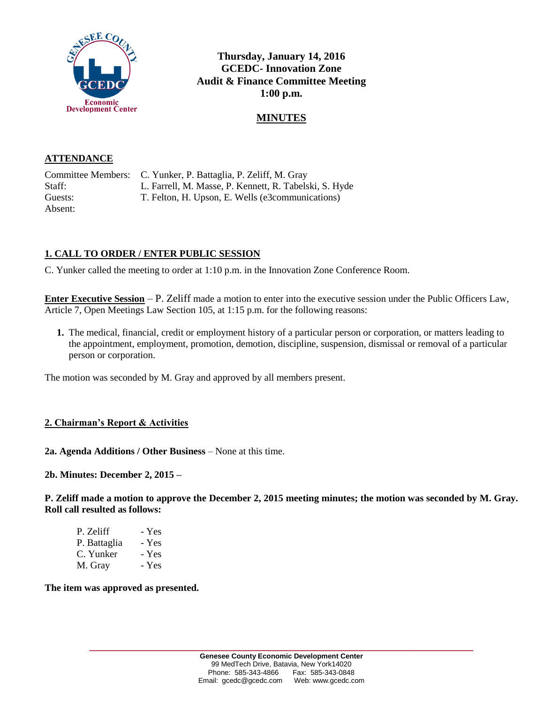

**Thursday, January 14, 2016 GCEDC- Innovation Zone Audit & Finance Committee Meeting 1:00 p.m.**

# **MINUTES**

### **ATTENDANCE**

Committee Members: C. Yunker, P. Battaglia, P. Zeliff, M. Gray Staff: L. Farrell, M. Masse, P. Kennett, R. Tabelski, S. Hyde Guests: T. Felton, H. Upson, E. Wells (e3communications) Absent:

# **1. CALL TO ORDER / ENTER PUBLIC SESSION**

C. Yunker called the meeting to order at 1:10 p.m. in the Innovation Zone Conference Room.

**Enter Executive Session** – P. Zeliff made a motion to enter into the executive session under the Public Officers Law, Article 7, Open Meetings Law Section 105, at 1:15 p.m. for the following reasons:

**1.** The medical, financial, credit or employment history of a particular person or corporation, or matters leading to the appointment, employment, promotion, demotion, discipline, suspension, dismissal or removal of a particular person or corporation.

The motion was seconded by M. Gray and approved by all members present.

# **2. Chairman's Report & Activities**

#### **2a. Agenda Additions / Other Business** – None at this time.

#### **2b. Minutes: December 2, 2015 –**

**P. Zeliff made a motion to approve the December 2, 2015 meeting minutes; the motion was seconded by M. Gray. Roll call resulted as follows:**

| P. Zeliff    | - Yes |
|--------------|-------|
| P. Battaglia | - Yes |
| C. Yunker    | - Yes |
| M. Gray      | - Yes |

**The item was approved as presented.**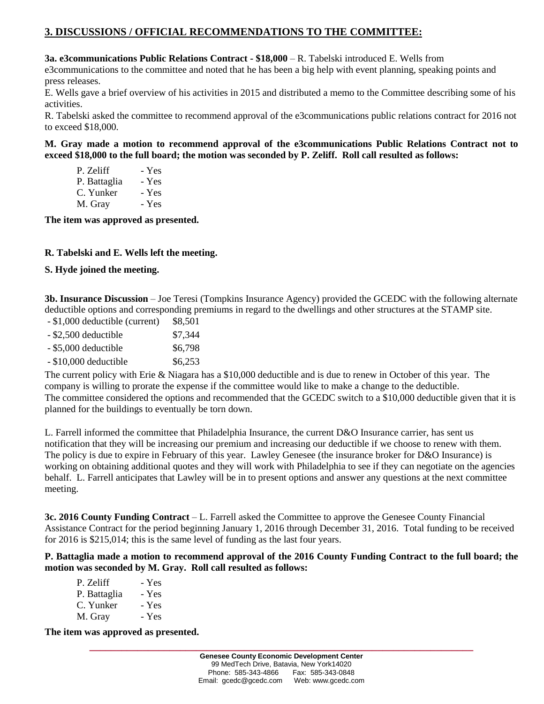# **3. DISCUSSIONS / OFFICIAL RECOMMENDATIONS TO THE COMMITTEE:**

# **3a. e3communications Public Relations Contract - \$18,000** – R. Tabelski introduced E. Wells from

e3communications to the committee and noted that he has been a big help with event planning, speaking points and press releases.

E. Wells gave a brief overview of his activities in 2015 and distributed a memo to the Committee describing some of his activities.

R. Tabelski asked the committee to recommend approval of the e3communications public relations contract for 2016 not to exceed \$18,000.

**M. Gray made a motion to recommend approval of the e3communications Public Relations Contract not to exceed \$18,000 to the full board; the motion was seconded by P. Zeliff. Roll call resulted as follows:**

| P. Zeliff    | - Yes |
|--------------|-------|
| P. Battaglia | - Yes |
| C. Yunker    | - Yes |
| M. Gray      | - Yes |

**The item was approved as presented.**

### **R. Tabelski and E. Wells left the meeting.**

### **S. Hyde joined the meeting.**

**3b. Insurance Discussion** – Joe Teresi (Tompkins Insurance Agency) provided the GCEDC with the following alternate deductible options and corresponding premiums in regard to the dwellings and other structures at the STAMP site.

- $-$  \$1,000 deductible (current) \$8,501 - \$2,500 deductible \$7,344
- $-$  \$5,000 deductible  $\$6,798$
- $-$  \$10,000 deductible \$6,253

The current policy with Erie & Niagara has a \$10,000 deductible and is due to renew in October of this year. The company is willing to prorate the expense if the committee would like to make a change to the deductible. The committee considered the options and recommended that the GCEDC switch to a \$10,000 deductible given that it is planned for the buildings to eventually be torn down.

L. Farrell informed the committee that Philadelphia Insurance, the current D&O Insurance carrier, has sent us notification that they will be increasing our premium and increasing our deductible if we choose to renew with them. The policy is due to expire in February of this year. Lawley Genesee (the insurance broker for D&O Insurance) is working on obtaining additional quotes and they will work with Philadelphia to see if they can negotiate on the agencies behalf. L. Farrell anticipates that Lawley will be in to present options and answer any questions at the next committee meeting.

**3c. 2016 County Funding Contract** – L. Farrell asked the Committee to approve the Genesee County Financial Assistance Contract for the period beginning January 1, 2016 through December 31, 2016. Total funding to be received for 2016 is \$215,014; this is the same level of funding as the last four years.

**P. Battaglia made a motion to recommend approval of the 2016 County Funding Contract to the full board; the motion was seconded by M. Gray. Roll call resulted as follows:**

| P. Zeliff    | - Yes |
|--------------|-------|
| P. Battaglia | - Yes |
| C. Yunker    | - Yes |
| M. Gray      | - Yes |

**The item was approved as presented.**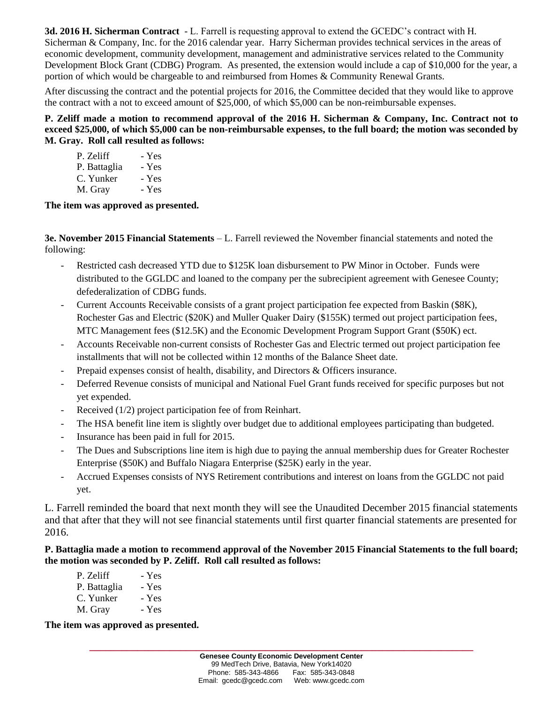**3d. 2016 H. Sicherman Contract** - L. Farrell is requesting approval to extend the GCEDC's contract with H. Sicherman & Company, Inc. for the 2016 calendar year. Harry Sicherman provides technical services in the areas of economic development, community development, management and administrative services related to the Community Development Block Grant (CDBG) Program. As presented, the extension would include a cap of \$10,000 for the year, a portion of which would be chargeable to and reimbursed from Homes & Community Renewal Grants.

After discussing the contract and the potential projects for 2016, the Committee decided that they would like to approve the contract with a not to exceed amount of \$25,000, of which \$5,000 can be non-reimbursable expenses.

**P. Zeliff made a motion to recommend approval of the 2016 H. Sicherman & Company, Inc. Contract not to exceed \$25,000, of which \$5,000 can be non-reimbursable expenses, to the full board; the motion was seconded by M. Gray. Roll call resulted as follows:**

| P. Zeliff    | - Yes |
|--------------|-------|
| P. Battaglia | - Yes |
| C. Yunker    | - Yes |
| M. Gray      | - Yes |

**The item was approved as presented.**

**3e. November 2015 Financial Statements** – L. Farrell reviewed the November financial statements and noted the following:

- Restricted cash decreased YTD due to \$125K loan disbursement to PW Minor in October. Funds were distributed to the GGLDC and loaned to the company per the subrecipient agreement with Genesee County; defederalization of CDBG funds.
- Current Accounts Receivable consists of a grant project participation fee expected from Baskin (\$8K), Rochester Gas and Electric (\$20K) and Muller Quaker Dairy (\$155K) termed out project participation fees, MTC Management fees (\$12.5K) and the Economic Development Program Support Grant (\$50K) ect.
- Accounts Receivable non-current consists of Rochester Gas and Electric termed out project participation fee installments that will not be collected within 12 months of the Balance Sheet date.
- Prepaid expenses consist of health, disability, and Directors & Officers insurance.
- Deferred Revenue consists of municipal and National Fuel Grant funds received for specific purposes but not yet expended.
- Received (1/2) project participation fee of from Reinhart.
- The HSA benefit line item is slightly over budget due to additional employees participating than budgeted.
- Insurance has been paid in full for 2015.
- The Dues and Subscriptions line item is high due to paying the annual membership dues for Greater Rochester Enterprise (\$50K) and Buffalo Niagara Enterprise (\$25K) early in the year.
- Accrued Expenses consists of NYS Retirement contributions and interest on loans from the GGLDC not paid yet.

L. Farrell reminded the board that next month they will see the Unaudited December 2015 financial statements and that after that they will not see financial statements until first quarter financial statements are presented for 2016.

# **P. Battaglia made a motion to recommend approval of the November 2015 Financial Statements to the full board; the motion was seconded by P. Zeliff. Roll call resulted as follows:**

| P. Zeliff    | - Yes |
|--------------|-------|
| P. Battaglia | - Yes |
| C. Yunker    | - Yes |
| M. Gray      | - Yes |

**The item was approved as presented.**